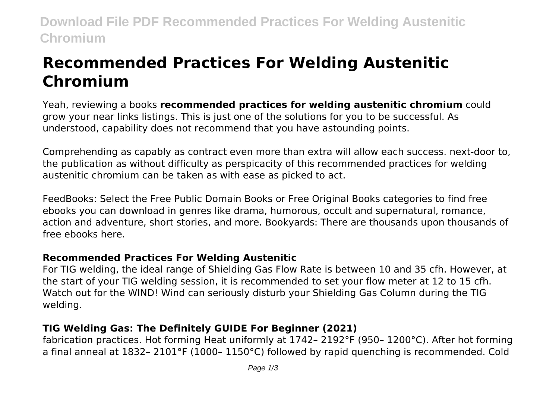**Download File PDF Recommended Practices For Welding Austenitic Chromium**

# **Recommended Practices For Welding Austenitic Chromium**

Yeah, reviewing a books **recommended practices for welding austenitic chromium** could grow your near links listings. This is just one of the solutions for you to be successful. As understood, capability does not recommend that you have astounding points.

Comprehending as capably as contract even more than extra will allow each success. next-door to, the publication as without difficulty as perspicacity of this recommended practices for welding austenitic chromium can be taken as with ease as picked to act.

FeedBooks: Select the Free Public Domain Books or Free Original Books categories to find free ebooks you can download in genres like drama, humorous, occult and supernatural, romance, action and adventure, short stories, and more. Bookyards: There are thousands upon thousands of free ebooks here.

#### **Recommended Practices For Welding Austenitic**

For TIG welding, the ideal range of Shielding Gas Flow Rate is between 10 and 35 cfh. However, at the start of your TIG welding session, it is recommended to set your flow meter at 12 to 15 cfh. Watch out for the WIND! Wind can seriously disturb your Shielding Gas Column during the TIG welding.

### **TIG Welding Gas: The Definitely GUIDE For Beginner (2021)**

fabrication practices. Hot forming Heat uniformly at 1742– 2192°F (950– 1200°C). After hot forming a final anneal at 1832– 2101°F (1000– 1150°C) followed by rapid quenching is recommended. Cold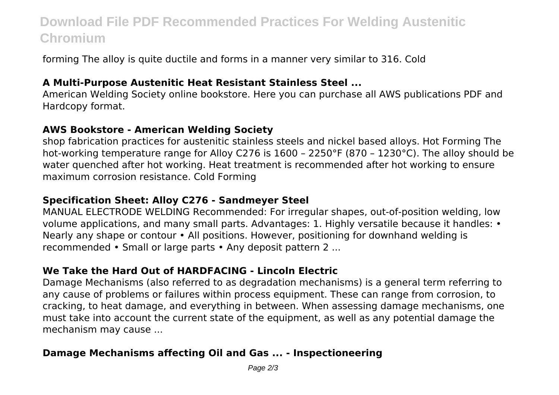## **Download File PDF Recommended Practices For Welding Austenitic Chromium**

forming The alloy is quite ductile and forms in a manner very similar to 316. Cold

#### **A Multi-Purpose Austenitic Heat Resistant Stainless Steel ...**

American Welding Society online bookstore. Here you can purchase all AWS publications PDF and Hardcopy format.

#### **AWS Bookstore - American Welding Society**

shop fabrication practices for austenitic stainless steels and nickel based alloys. Hot Forming The hot-working temperature range for Alloy C276 is 1600 – 2250°F (870 – 1230°C). The alloy should be water quenched after hot working. Heat treatment is recommended after hot working to ensure maximum corrosion resistance. Cold Forming

#### **Specification Sheet: Alloy C276 - Sandmeyer Steel**

MANUAL ELECTRODE WELDING Recommended: For irregular shapes, out-of-position welding, low volume applications, and many small parts. Advantages: 1. Highly versatile because it handles: • Nearly any shape or contour • All positions. However, positioning for downhand welding is recommended • Small or large parts • Any deposit pattern 2 ...

### **We Take the Hard Out of HARDFACING - Lincoln Electric**

Damage Mechanisms (also referred to as degradation mechanisms) is a general term referring to any cause of problems or failures within process equipment. These can range from corrosion, to cracking, to heat damage, and everything in between. When assessing damage mechanisms, one must take into account the current state of the equipment, as well as any potential damage the mechanism may cause ...

#### **Damage Mechanisms affecting Oil and Gas ... - Inspectioneering**

Page  $2/3$